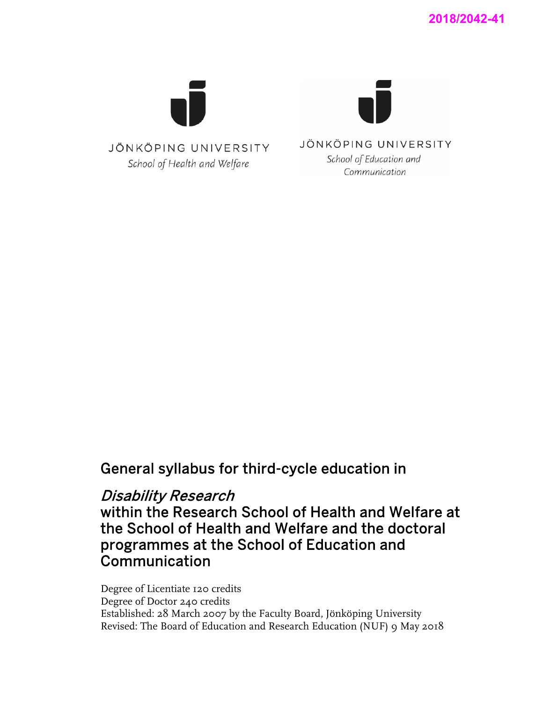

# General syllabus for third-cycle education in

# Disability Research

within the Research School of Health and Welfare at the School of Health and Welfare and the doctoral programmes at the School of Education and Communication

Degree of Licentiate 120 credits Degree of Doctor 240 credits Established: 28 March 2007 by the Faculty Board, Jönköping University Revised: The Board of Education and Research Education (NUF) 9 May 2018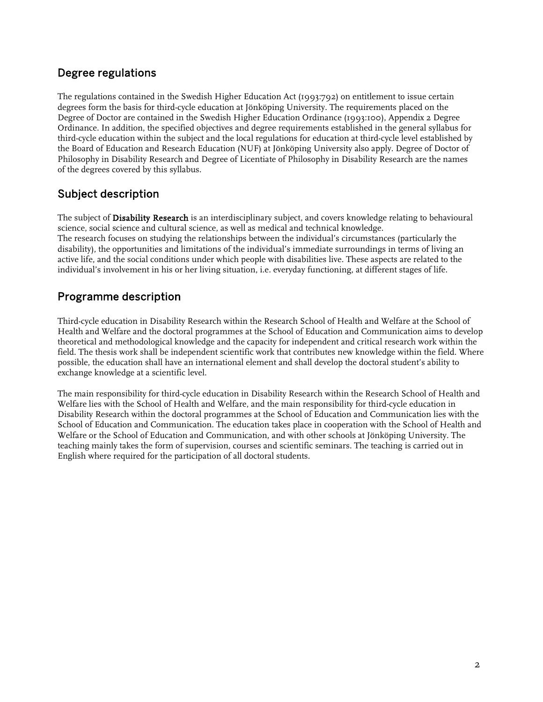# Degree regulations

The regulations contained in the Swedish Higher Education Act (1993:792) on entitlement to issue certain degrees form the basis for third-cycle education at Jönköping University. The requirements placed on the Degree of Doctor are contained in the Swedish Higher Education Ordinance (1993:100), Appendix 2 Degree Ordinance. In addition, the specified objectives and degree requirements established in the general syllabus for third-cycle education within the subject and the local regulations for education at third-cycle level established by the Board of Education and Research Education (NUF) at Jönköping University also apply. Degree of Doctor of Philosophy in Disability Research and Degree of Licentiate of Philosophy in Disability Research are the names of the degrees covered by this syllabus.

# Subject description

The subject of **Disability Research** is an interdisciplinary subject, and covers knowledge relating to behavioural science, social science and cultural science, as well as medical and technical knowledge. The research focuses on studying the relationships between the individual's circumstances (particularly the disability), the opportunities and limitations of the individual's immediate surroundings in terms of living an active life, and the social conditions under which people with disabilities live. These aspects are related to the individual's involvement in his or her living situation, i.e. everyday functioning, at different stages of life.

# Programme description

Third-cycle education in Disability Research within the Research School of Health and Welfare at the School of Health and Welfare and the doctoral programmes at the School of Education and Communication aims to develop theoretical and methodological knowledge and the capacity for independent and critical research work within the field. The thesis work shall be independent scientific work that contributes new knowledge within the field. Where possible, the education shall have an international element and shall develop the doctoral student's ability to exchange knowledge at a scientific level.

The main responsibility for third-cycle education in Disability Research within the Research School of Health and Welfare lies with the School of Health and Welfare, and the main responsibility for third-cycle education in Disability Research within the doctoral programmes at the School of Education and Communication lies with the School of Education and Communication. The education takes place in cooperation with the School of Health and Welfare or the School of Education and Communication, and with other schools at Jönköping University. The teaching mainly takes the form of supervision, courses and scientific seminars. The teaching is carried out in English where required for the participation of all doctoral students.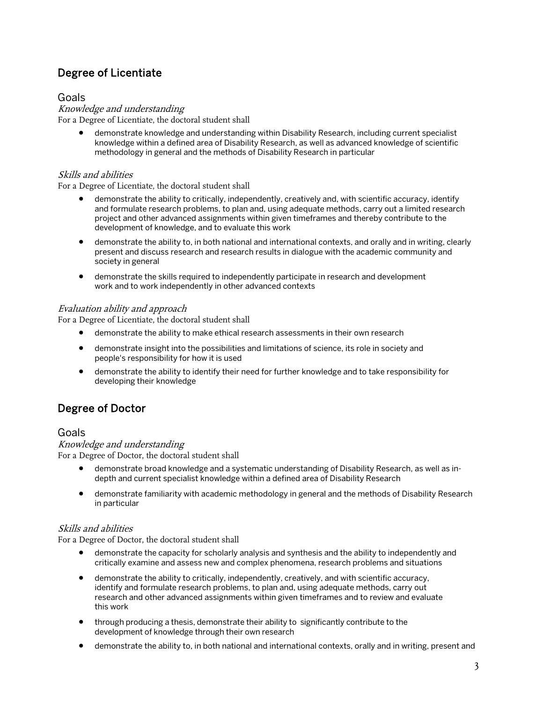# Degree of Licentiate

### Goals

#### Knowledge and understanding For a Degree of Licentiate, the doctoral student shall

• demonstrate knowledge and understanding within Disability Research, including current specialist knowledge within a defined area of Disability Research, as well as advanced knowledge of scientific methodology in general and the methods of Disability Research in particular

### Skills and abilities

For a Degree of Licentiate, the doctoral student shall

- demonstrate the ability to critically, independently, creatively and, with scientific accuracy, identify and formulate research problems, to plan and, using adequate methods, carry out a limited research project and other advanced assignments within given timeframes and thereby contribute to the development of knowledge, and to evaluate this work
- demonstrate the ability to, in both national and international contexts, and orally and in writing, clearly present and discuss research and research results in dialogue with the academic community and society in general
- demonstrate the skills required to independently participate in research and development work and to work independently in other advanced contexts

### Evaluation ability and approach

For a Degree of Licentiate, the doctoral student shall

- demonstrate the ability to make ethical research assessments in their own research
- demonstrate insight into the possibilities and limitations of science, its role in society and people's responsibility for how it is used
- demonstrate the ability to identify their need for further knowledge and to take responsibility for developing their knowledge

# Degree of Doctor

### Goals

Knowledge and understanding For a Degree of Doctor, the doctoral student shall

- demonstrate broad knowledge and a systematic understanding of Disability Research, as well as indepth and current specialist knowledge within a defined area of Disability Research
- demonstrate familiarity with academic methodology in general and the methods of Disability Research in particular

### Skills and abilities

For a Degree of Doctor, the doctoral student shall

- demonstrate the capacity for scholarly analysis and synthesis and the ability to independently and critically examine and assess new and complex phenomena, research problems and situations
- demonstrate the ability to critically, independently, creatively, and with scientific accuracy, identify and formulate research problems, to plan and, using adequate methods, carry out research and other advanced assignments within given timeframes and to review and evaluate this work
- through producing a thesis, demonstrate their ability to significantly contribute to the development of knowledge through their own research
- demonstrate the ability to, in both national and international contexts, orally and in writing, present and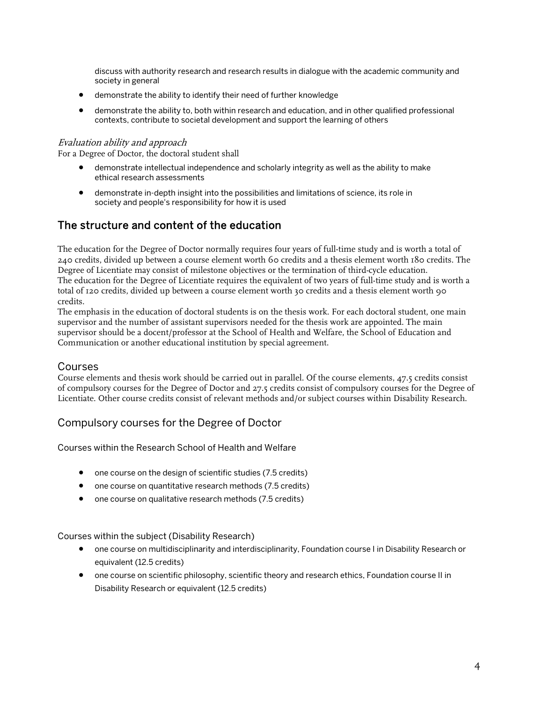discuss with authority research and research results in dialogue with the academic community and society in general

- demonstrate the ability to identify their need of further knowledge
- demonstrate the ability to, both within research and education, and in other qualified professional contexts, contribute to societal development and support the learning of others

#### Evaluation ability and approach

For a Degree of Doctor, the doctoral student shall

- demonstrate intellectual independence and scholarly integrity as well as the ability to make ethical research assessments
- demonstrate in-depth insight into the possibilities and limitations of science, its role in society and people's responsibility for how it is used

# The structure and content of the education

The education for the Degree of Doctor normally requires four years of full-time study and is worth a total of 240 credits, divided up between a course element worth 60 credits and a thesis element worth 180 credits. The Degree of Licentiate may consist of milestone objectives or the termination of third-cycle education. The education for the Degree of Licentiate requires the equivalent of two years of full-time study and is worth a total of 120 credits, divided up between a course element worth 30 credits and a thesis element worth 90 credits.

The emphasis in the education of doctoral students is on the thesis work. For each doctoral student, one main supervisor and the number of assistant supervisors needed for the thesis work are appointed. The main supervisor should be a docent/professor at the School of Health and Welfare, the School of Education and Communication or another educational institution by special agreement.

#### Courses

Course elements and thesis work should be carried out in parallel. Of the course elements, 47.5 credits consist of compulsory courses for the Degree of Doctor and 27.5 credits consist of compulsory courses for the Degree of Licentiate. Other course credits consist of relevant methods and/or subject courses within Disability Research.

### Compulsory courses for the Degree of Doctor

Courses within the Research School of Health and Welfare

- one course on the design of scientific studies (7.5 credits)
- one course on quantitative research methods (7.5 credits)
- one course on qualitative research methods (7.5 credits)

Courses within the subject (Disability Research)

- one course on multidisciplinarity and interdisciplinarity, Foundation course I in Disability Research or equivalent (12.5 credits)
- one course on scientific philosophy, scientific theory and research ethics, Foundation course II in Disability Research or equivalent (12.5 credits)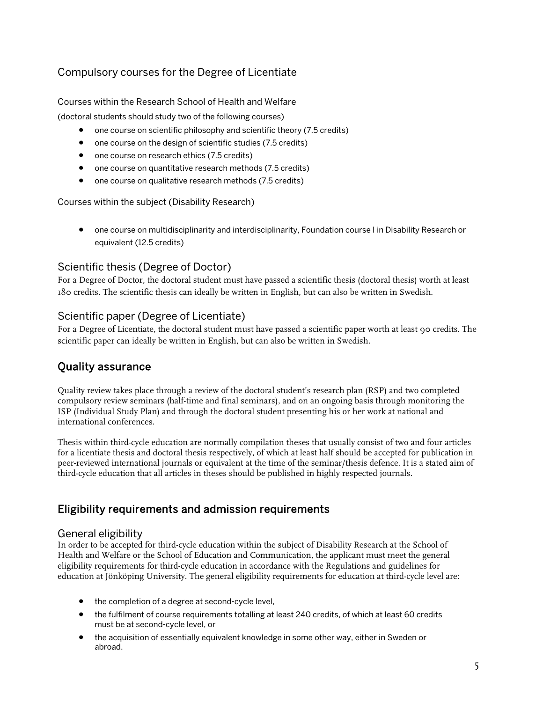# Compulsory courses for the Degree of Licentiate

### Courses within the Research School of Health and Welfare

(doctoral students should study two of the following courses)

- one course on scientific philosophy and scientific theory (7.5 credits)
- one course on the design of scientific studies (7.5 credits)
- one course on research ethics (7.5 credits)
- one course on quantitative research methods (7.5 credits)
- one course on qualitative research methods (7.5 credits)

Courses within the subject (Disability Research)

• one course on multidisciplinarity and interdisciplinarity, Foundation course I in Disability Research or equivalent (12.5 credits)

# Scientific thesis (Degree of Doctor)

For a Degree of Doctor, the doctoral student must have passed a scientific thesis (doctoral thesis) worth at least 180 credits. The scientific thesis can ideally be written in English, but can also be written in Swedish.

## Scientific paper (Degree of Licentiate)

For a Degree of Licentiate, the doctoral student must have passed a scientific paper worth at least 90 credits. The scientific paper can ideally be written in English, but can also be written in Swedish.

# Quality assurance

Quality review takes place through a review of the doctoral student's research plan (RSP) and two completed compulsory review seminars (half-time and final seminars), and on an ongoing basis through monitoring the ISP (Individual Study Plan) and through the doctoral student presenting his or her work at national and international conferences.

Thesis within third-cycle education are normally compilation theses that usually consist of two and four articles for a licentiate thesis and doctoral thesis respectively, of which at least half should be accepted for publication in peer-reviewed international journals or equivalent at the time of the seminar/thesis defence. It is a stated aim of third-cycle education that all articles in theses should be published in highly respected journals.

# Eligibility requirements and admission requirements

### General eligibility

In order to be accepted for third-cycle education within the subject of Disability Research at the School of Health and Welfare or the School of Education and Communication, the applicant must meet the general eligibility requirements for third-cycle education in accordance with the Regulations and guidelines for education at Jönköping University. The general eligibility requirements for education at third-cycle level are:

- the completion of a degree at second-cycle level,
- the fulfilment of course requirements totalling at least 240 credits, of which at least 60 credits must be at second-cycle level, or
- the acquisition of essentially equivalent knowledge in some other way, either in Sweden or abroad.